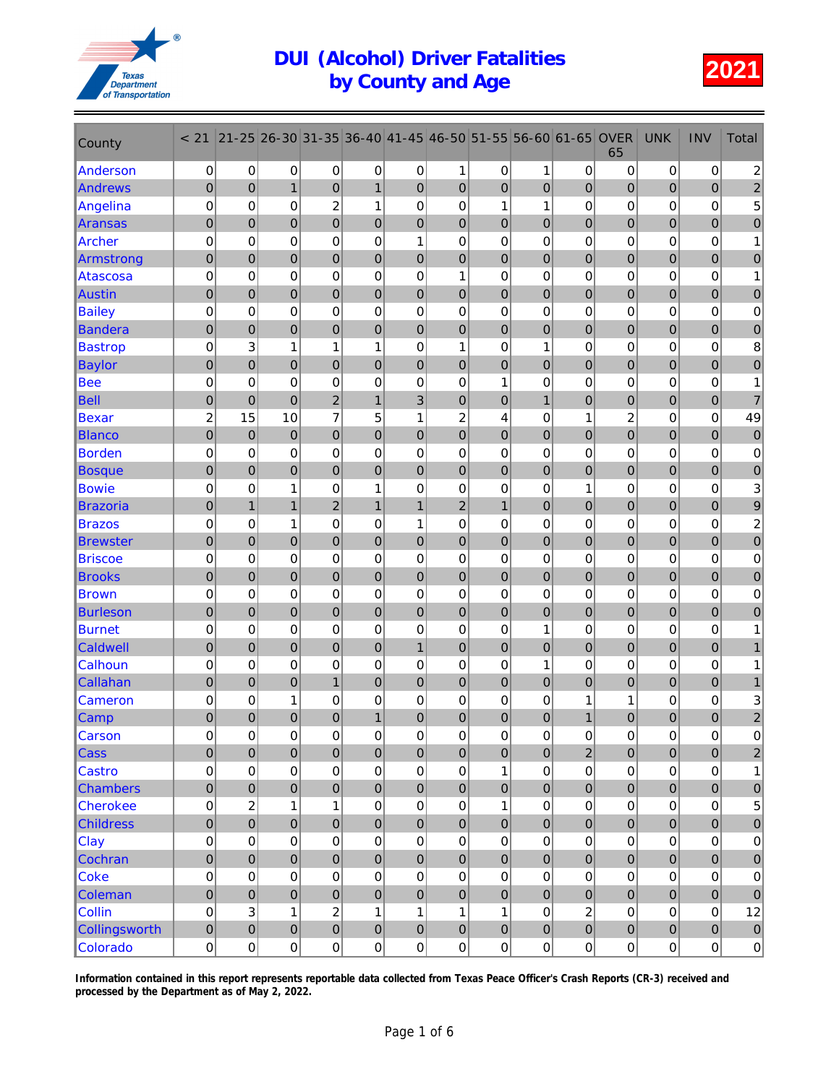

| County           | < 21             | $21 - 25$      | 26-30               | 31-35               | 36-40          | $ 41 - 45 $    | 46-50          | 51-55          | 56-60            | 61-65            | <b>OVER</b><br>65 | <b>UNK</b>       | <b>INV</b>       | Total                   |
|------------------|------------------|----------------|---------------------|---------------------|----------------|----------------|----------------|----------------|------------------|------------------|-------------------|------------------|------------------|-------------------------|
| Anderson         | 0                | 0              | 0                   | 0                   | 0              | 0              | 1              | 0              | 1                | 0                | 0                 | 0                | $\pmb{0}$        | $\overline{\mathbf{c}}$ |
| Andrews          | $\pmb{0}$        | $\mathbf 0$    | $\mathbf{1}$        | 0                   | $\mathbf{1}$   | $\overline{0}$ | 0              | $\mathbf 0$    | $\overline{0}$   | $\mathbf 0$      | 0                 | $\overline{0}$   | $\pmb{0}$        | $\overline{\mathbf{c}}$ |
| Angelina         | $\pmb{0}$        | 0              | 0                   | $\overline{c}$      | $\mathbf{1}$   | $\mathbf 0$    | 0              | 1              | 1                | 0                | 0                 | 0                | 0                | 5                       |
| Aransas          | $\mathbf 0$      | $\overline{0}$ | $\overline{0}$      | $\overline{0}$      | $\mathbf 0$    | $\mathbf 0$    | 0              | $\mathbf 0$    | $\overline{0}$   | $\overline{0}$   | 0                 | $\overline{0}$   | $\boldsymbol{0}$ | $\pmb{0}$               |
| <b>Archer</b>    | $\mathbf 0$      | 0              | 0                   | 0                   | 0              | 1              | 0              | $\mathbf 0$    | $\mathbf 0$      | 0                | 0                 | 0                | 0                | 1                       |
| Armstrong        | $\pmb{0}$        | 0              | 0                   | $\mathbf 0$         | $\pmb{0}$      | $\pmb{0}$      | 0              | $\mathbf 0$    | $\pmb{0}$        | $\boldsymbol{0}$ | 0                 | $\boldsymbol{0}$ | $\pmb{0}$        | $\mathbf 0$             |
| Atascosa         | $\boldsymbol{0}$ | 0              | 0                   | 0                   | 0              | 0              | 1              | 0              | 0                | 0                | 0                 | 0                | 0                | 1                       |
| Austin           | $\mathbf 0$      | $\overline{0}$ | $\overline{0}$      | $\mathbf 0$         | $\pmb{0}$      | $\mathbf 0$    | $\overline{0}$ | $\overline{0}$ | $\overline{0}$   | $\mathbf 0$      | $\mathbf 0$       | $\mathbf 0$      | $\overline{0}$   | $\overline{0}$          |
| <b>Bailey</b>    | 0                | 0              | 0                   | 0                   | 0              | 0              | 0              | 0              | 0                | 0                | 0                 | 0                | 0                | $\pmb{0}$               |
| <b>Bandera</b>   | $\mathbf 0$      | $\mathbf 0$    | $\overline{0}$      | $\mathbf 0$         | $\mathbf 0$    | $\mathbf 0$    | 0              | $\mathbf 0$    | $\overline{0}$   | 0                | 0                 | $\overline{0}$   | $\pmb{0}$        | $\pmb{0}$               |
| <b>Bastrop</b>   | $\mathbf 0$      | 3              | 1                   | 1                   | 1              | 0              | 1              | 0              | 1                | 0                | 0                 | 0                | 0                | $\bf 8$                 |
| <b>Baylor</b>    | $\mathbf 0$      | 0              | 0                   | 0                   | $\mathbf 0$    | 0              | 0              | $\mathbf 0$    | $\overline{0}$   | 0                | 0                 | $\mathbf 0$      | 0                | 0                       |
| <b>Bee</b>       | $\boldsymbol{0}$ | $\mathbf 0$    | 0                   | $\mathbf 0$         | 0              | $\mathbf 0$    | $\mathbf 0$    | 1              | 0                | $\mathbf 0$      | 0                 | 0                | 0                | 1                       |
| <b>Bell</b>      | $\mathbf 0$      | $\overline{0}$ | $\overline{0}$      | $\overline{c}$      | $\mathbf{1}$   | 3              | $\overline{0}$ | $\mathbf 0$    | $\mathbf{1}$     | 0                | $\mathbf 0$       | $\boldsymbol{0}$ | $\overline{0}$   | $\overline{7}$          |
| <b>Bexar</b>     | $\overline{c}$   | 15             | 10                  | 7                   | 5              | 1              | $\overline{c}$ | 4              | $\mathbf 0$      | 1                | $\overline{c}$    | 0                | 0                | 49                      |
| <b>Blanco</b>    | $\pmb{0}$        | $\mathbf 0$    | $\mathbf 0$         | $\mathbf 0$         | $\pmb{0}$      | $\bf 0$        | $\mathbf 0$    | $\mathbf 0$    | $\mathbf 0$      | $\boldsymbol{0}$ | 0                 | $\mathbf 0$      | 0                | $\mathbf 0$             |
| <b>Borden</b>    | $\mathbf 0$      | 0              | 0                   | 0                   | 0              | 0              | 0              | 0              | 0                | $\mathbf 0$      | 0                 | 0                | 0                | $\mathbf 0$             |
| <b>Bosque</b>    | $\mathbf 0$      | $\overline{0}$ | $\overline{0}$      | $\overline{0}$      | $\overline{0}$ | $\mathbf 0$    | $\overline{0}$ | $\overline{0}$ | $\overline{0}$   | $\overline{0}$   | $\mathbf 0$       | $\mathbf 0$      | $\pmb{0}$        | $\overline{0}$          |
| <b>Bowie</b>     | $\mathbf 0$      | 0              | 1                   | 0                   | 1              | 0              | 0              | 0              | 0                | 1                | 0                 | 0                | 0                | 3                       |
| <b>Brazoria</b>  | $\mathbf 0$      | $\overline{1}$ | $\mathbf{1}$        | $\overline{c}$      | $\mathbf{1}$   | $\mathbf{1}$   | $\overline{c}$ | $\mathbf{1}$   | $\mathbf 0$      | $\boldsymbol{0}$ | 0                 | $\boldsymbol{0}$ | $\pmb{0}$        | $\boldsymbol{9}$        |
| <b>Brazos</b>    | $\mathbf 0$      | 0              | 1                   | 0                   | 0              | 1              | 0              | 0              | 0                | 0                | 0                 | 0                | 0                | $\overline{\mathbf{c}}$ |
| <b>Brewster</b>  | $\mathbf 0$      | $\mathbf 0$    | 0                   | 0                   | $\pmb{0}$      | $\mathbf 0$    | 0              | $\mathbf 0$    | $\overline{0}$   | $\boldsymbol{0}$ | 0                 | $\overline{0}$   | 0                | $\pmb{0}$               |
| <b>Briscoe</b>   | 0                | 0              | 0                   | $\mathbf 0$         | 0              | $\mathbf 0$    | $\pmb{0}$      | 0              | 0                | 0                | 0                 | 0                | 0                | $\pmb{0}$               |
| <b>Brooks</b>    | $\mathbf 0$      | $\overline{0}$ | $\overline{0}$      | $\overline{0}$      | $\mathbf 0$    | $\mathbf 0$    | $\overline{0}$ | $\mathbf 0$    | $\overline{0}$   | $\overline{0}$   | $\mathbf 0$       | $\overline{0}$   | $\boldsymbol{0}$ | 0                       |
| <b>Brown</b>     | $\mathbf 0$      | 0              | 0                   | 0                   | 0              | 0              | 0              | $\mathbf 0$    | 0                | 0                | 0                 | 0                | 0                | $\mathbf 0$             |
| <b>Burleson</b>  | $\pmb{0}$        | 0              | 0                   | $\mathbf 0$         | $\pmb{0}$      | $\bf 0$        | $\mathbf 0$    | $\mathbf 0$    | $\pmb{0}$        | $\boldsymbol{0}$ | 0                 | $\boldsymbol{0}$ | 0                | $\mathbf 0$             |
| <b>Burnet</b>    | $\boldsymbol{0}$ | 0              | 0                   | 0                   | 0              | $\mathbf 0$    | 0              | 0              | 1                | 0                | 0                 | 0                | 0                | 1                       |
| Caldwell         | $\pmb{0}$        | $\overline{0}$ | $\overline{0}$      | $\overline{0}$      | $\mathbf 0$    | $\mathbf{1}$   | $\overline{0}$ | $\overline{0}$ | $\overline{0}$   | $\mathbf 0$      | $\mathbf 0$       | $\mathbf 0$      | $\overline{0}$   |                         |
| Calhoun          | 0                | 0              | 0                   | 0                   | 0              | 0              | 0              | 0              | 1                | 0                | 0                 | 0                | 0                |                         |
| Callahan         | $\mathbf 0$      | $\mathbf 0$    | 0                   | $\mathbf{1}$        | $\mathbf 0$    | $\mathbf 0$    | $\mathbf 0$    | $\mathbf 0$    | $\mathbf 0$      | 0                | 0                 | $\mathbf 0$      | $\boldsymbol{0}$ | $\mathbf{1}$            |
| Cameron          | $\mathbf 0$      | 0              | 1                   | 0                   | 0              | 0              | 0              | 0              | 0                | 1                | 1                 | 0                | 0                | 3                       |
| Camp             | $\mathbf 0$      | 0              | 0                   | 0                   | 1              | 0              | 0              | 0              | 0                | 1                | 0                 | 0                | 0                | $\overline{\mathbf{c}}$ |
| <b>Carson</b>    | 0                | 0              | 0                   | $\mathsf{O}\xspace$ | $\pmb{0}$      | 0              | $\Omega$       | 0              | $\boldsymbol{0}$ | 0                | 0                 | 0                | $\Omega$         | $\Omega$                |
| Cass             | $\pmb{0}$        | $\overline{0}$ | $\mathbf 0$         | $\mathbf 0$         | $\mathbf 0$    | $\mathbf 0$    | $\pmb{0}$      | $\mathbf 0$    | $\mathbf 0$      | $\overline{2}$   | 0                 | $\mathbf 0$      | $\pmb{0}$        | $\sqrt{2}$              |
| <b>Castro</b>    | $\pmb{0}$        | $\mathsf 0$    | 0                   | 0                   | $\pmb{0}$      | $\pmb{0}$      | 0              | 1              | $\boldsymbol{0}$ | 0                | 0                 | $\pmb{0}$        | $\mathsf 0$      | 1                       |
| <b>Chambers</b>  | $\mathbf 0$      | $\mathbf 0$    | 0                   | $\mathbf 0$         | $\pmb{0}$      | $\pmb{0}$      | $\mathbf 0$    | $\mathbf 0$    | $\overline{0}$   | $\pmb{0}$        | 0                 | $\pmb{0}$        | $\mathbf 0$      | $\pmb{0}$               |
| <b>Cherokee</b>  | 0                | $\mathbf 2$    | 1                   | $\mathbf{1}$        | $\mathsf 0$    | $\pmb{0}$      | $\pmb{0}$      | 1              | $\mathsf 0$      | 0                | 0                 | $\pmb{0}$        | $\mathsf 0$      | $\mathbf 5$             |
| <b>Childress</b> | $\mathbf 0$      | $\overline{0}$ | $\overline{0}$      | $\overline{0}$      | $\mathbf 0$    | $\mathbf 0$    | $\overline{0}$ | $\overline{0}$ | $\mathbf 0$      | $\overline{0}$   | $\overline{0}$    | $\overline{0}$   | $\mathbf 0$      | $\mathbf 0$             |
| Clay             | 0                | 0              | 0                   | 0                   | $\pmb{0}$      | $\pmb{0}$      | 0              | 0              | $\pmb{0}$        | 0                | 0                 | $\pmb{0}$        | $\pmb{0}$        | $\pmb{0}$               |
| Cochran          | $\pmb{0}$        | $\mathbf 0$    | 0                   | $\pmb{0}$           | $\mathbf 0$    | $\mathbf 0$    | $\mathbf 0$    | $\pmb{0}$      | $\overline{0}$   | $\mathbf 0$      | 0                 | $\pmb{0}$        | $\mathbf 0$      | $\pmb{0}$               |
| <b>Coke</b>      | 0                | 0              | 0                   | 0                   | $\mathbf 0$    | 0              | 0              | 0              | $\mathbf 0$      | 0                | 0                 | $\pmb{0}$        | $\pmb{0}$        | $\pmb{0}$               |
| Coleman          | $\pmb{0}$        | $\mathbf 0$    | 0                   | 0                   | $\pmb{0}$      | $\bf 0$        | $\pmb{0}$      | $\mathbf 0$    | $\overline{0}$   | $\pmb{0}$        | 0                 | $\pmb{0}$        | $\overline{0}$   | $\pmb{0}$               |
| Collin           | $\pmb{0}$        | $\mathsf 3$    | $\mathbf{1}$        | $\overline{c}$      | $\mathbf{1}$   | $\mathbf{1}$   | 1              | 1              | $\pmb{0}$        | $\overline{c}$   | $\mathsf 0$       | $\mathbf 0$      | $\pmb{0}$        | 12                      |
| Collingsworth    | $\pmb{0}$        | $\overline{0}$ | $\overline{0}$      | $\mathbf{0}$        | $\pmb{0}$      | $\pmb{0}$      | $\pmb{0}$      | $\pmb{0}$      | $\pmb{0}$        | $\overline{0}$   | 0                 | $\mathbf 0$      | $\mathbf 0$      | $\pmb{0}$               |
| Colorado         | $\mathsf 0$      | $\pmb{0}$      | $\mathsf{O}\xspace$ | $\boldsymbol{0}$    | 0              | $\pmb{0}$      | $\overline{0}$ | 0              | 0                | $\pmb{0}$        | $\overline{0}$    | $\pmb{0}$        | $\boldsymbol{0}$ | 0                       |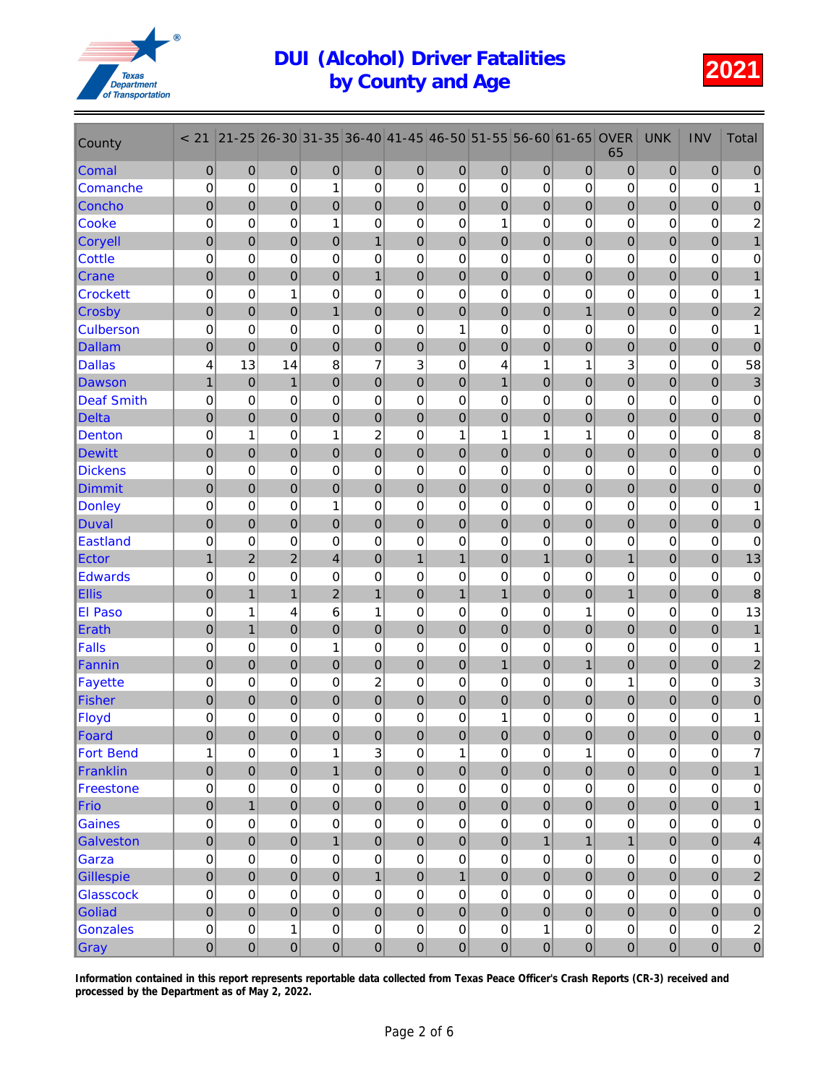

| County            | < 21             | $21 - 25$        | 26-30          | $ 31 - 35 $    | 36-40                     | 41-45          | 46-50            | 51-55            | 56-60          | 61-65          | <b>OVER</b><br>65 | <b>UNK</b>     | <b>INV</b>     | <b>Total</b>              |
|-------------------|------------------|------------------|----------------|----------------|---------------------------|----------------|------------------|------------------|----------------|----------------|-------------------|----------------|----------------|---------------------------|
| <b>Comal</b>      | $\mathbf 0$      | $\mathbf 0$      | $\mathbf 0$    | 0              | $\mathbf 0$               | $\mathbf 0$    | $\mathbf 0$      | $\mathbf 0$      | $\mathbf 0$    | $\mathbf 0$    | 0                 | $\mathbf 0$    | 0              | $\mathbf{0}$              |
| Comanche          | $\mathbf 0$      | $\mathbf 0$      | $\mathbf 0$    | 1              | $\mathbf 0$               | 0              | 0                | 0                | 0              | 0              | 0                 | 0              | $\mathbf 0$    | 1                         |
| Concho            | $\mathbf 0$      | $\mathbf 0$      | 0              | $\mathbf 0$    | $\mathbf 0$               | $\mathbf 0$    | $\mathbf 0$      | $\mathbf 0$      | $\mathbf 0$    | $\mathbf 0$    | 0                 | 0              | 0              | $\pmb{0}$                 |
| <b>Cooke</b>      | $\mathbf 0$      | $\mathbf 0$      | 0              | 1              | $\mathbf 0$               | $\mathbf 0$    | $\mathbf 0$      | 1                | 0              | $\mathbf 0$    | 0                 | 0              | 0              | 2                         |
| <b>Coryell</b>    | $\mathbf 0$      | 0                | 0              | 0              | $\mathbf{1}$              | $\mathbf{0}$   | $\mathbf 0$      | 0                | 0              | $\mathbf 0$    | 0                 | 0              | 0              | 1                         |
| <b>Cottle</b>     | $\mathbf 0$      | $\mathbf 0$      | 0              | 0              | $\mathbf 0$               | $\mathbf 0$    | $\mathbf 0$      | $\mathbf 0$      | $\mathbf 0$    | $\mathbf 0$    | 0                 | 0              | 0              | 0                         |
| <b>Crane</b>      | $\mathbf 0$      | $\overline{0}$   | 0              | $\overline{0}$ | $\mathbf{1}$              | $\mathbf 0$    | $\mathbf 0$      | $\mathbf 0$      | $\overline{0}$ | $\mathbf 0$    | $\mathbf 0$       | 0              | $\overline{0}$ | $\mathbf{1}$              |
| <b>Crockett</b>   | $\mathbf 0$      | $\mathbf 0$      | 1              | 0              | $\mathbf 0$               | $\mathbf 0$    | 0                | $\mathbf 0$      | 0              | $\mathbf 0$    | 0                 | 0              | 0              | 1                         |
| <b>Crosby</b>     | $\mathbf 0$      | $\mathbf 0$      | $\mathbf 0$    | $\mathbf 1$    | $\mathbf 0$               | $\mathbf 0$    | $\mathbf 0$      | $\pmb{0}$        | $\mathbf 0$    | $\mathbf{1}$   | 0                 | 0              | 0              | $\overline{c}$            |
| <b>Culberson</b>  | $\mathbf 0$      | $\mathbf 0$      | $\mathbf 0$    | 0              | $\mathbf 0$               | $\mathbf 0$    | 1                | 0                | $\mathbf 0$    | $\mathbf 0$    | 0                 | $\mathbf 0$    | $\mathbf 0$    | 1                         |
| <b>Dallam</b>     | $\overline{0}$   | $\overline{0}$   | $\overline{0}$ | $\overline{0}$ | $\mathbf 0$               | $\mathbf 0$    | $\mathbf 0$      | $\overline{0}$   | $\overline{0}$ | $\overline{0}$ | 0                 | $\overline{0}$ | $\overline{0}$ | $\overline{0}$            |
| <b>Dallas</b>     | 4                | 13               | 14             | 8              | 7                         | 3              | $\mathbf 0$      | 4                | 1              | 1              | 3                 | 0              | 0              | 58                        |
| <b>Dawson</b>     | $\mathbf{1}$     | $\mathbf 0$      | $\mathbf{1}$   | $\mathbf 0$    | $\mathbf 0$               | $\mathbf 0$    | $\mathbf 0$      | $\mathbf{1}$     | $\mathbf 0$    | $\mathbf 0$    | 0                 | 0              | 0              | $\ensuremath{\mathsf{3}}$ |
| <b>Deaf Smith</b> | 0                | $\mathbf 0$      | 0              | 0              | $\mathbf 0$               | $\mathbf 0$    | 0                | 0                | 0              | $\mathbf 0$    | 0                 | 0              | 0              | $\pmb{0}$                 |
| <b>Delta</b>      | $\mathbf 0$      | $\overline{0}$   | 0              | 0              | $\mathbf 0$               | $\mathbf 0$    | $\mathbf 0$      | 0                | $\overline{0}$ | 0              | 0                 | 0              | 0              | $\pmb{0}$                 |
| <b>Denton</b>     | $\mathbf 0$      | 1                | 0              | 1              | $\overline{c}$            | 0              | 1                | 1                | 1              | 1              | 0                 | $\mathbf 0$    | $\mathbf 0$    | $\bf 8$                   |
| <b>Dewitt</b>     | $\mathbf 0$      | $\overline{0}$   | $\overline{0}$ | 0              | $\mathbf 0$               | $\mathbf 0$    | $\mathbf 0$      | $\mathbf 0$      | $\overline{0}$ | $\overline{0}$ | 0                 | $\overline{0}$ | $\overline{0}$ | $\pmb{0}$                 |
| <b>Dickens</b>    | $\mathbf 0$      | $\mathbf 0$      | 0              | 0              | $\mathbf 0$               | $\mathbf 0$    | $\mathbf 0$      | $\mathbf 0$      | 0              | $\mathbf 0$    | 0                 | 0              | 0              | 0                         |
| <b>Dimmit</b>     | $\mathbf 0$      | $\mathbf 0$      | $\mathbf 0$    | 0              | $\mathbf 0$               | $\mathbf 0$    | $\mathbf 0$      | $\mathbf 0$      | $\mathbf 0$    | $\mathbf 0$    | 0                 | 0              | 0              | $\pmb{0}$                 |
| <b>Donley</b>     | 0                | $\mathbf 0$      | 0              | 1              | $\mathbf 0$               | $\mathbf 0$    | $\mathbf 0$      | 0                | 0              | $\mathbf 0$    | 0                 | 0              | 0              | 1                         |
| <b>Duval</b>      | $\overline{0}$   | $\overline{0}$   | $\overline{0}$ | $\mathbf 0$    | $\mathbf 0$               | $\overline{0}$ | $\mathbf 0$      | $\overline{0}$   | $\overline{0}$ | $\mathbf 0$    | $\mathbf 0$       | $\overline{0}$ | $\overline{0}$ | $\mathbf 0$               |
| <b>Eastland</b>   | 0                | 0                | 0              | 0              | $\mathbf 0$               | $\mathbf 0$    | $\mathbf 0$      | 0                | 0              | $\mathbf 0$    | 0                 | $\mathbf 0$    | $\mathbf 0$    | $\mathbf 0$               |
| Ector             | $\mathbf{1}$     | $\overline{c}$   | $\overline{2}$ | 4              | $\mathbf 0$               | $\mathbf{1}$   | $\mathbf{1}$     | $\mathbf 0$      | $\overline{1}$ | $\mathbf 0$    | $\mathbf{1}$      | 0              | 0              | 13                        |
| <b>Edwards</b>    | $\mathbf 0$      | $\mathbf 0$      | 0              | 0              | $\mathbf 0$               | $\mathbf 0$    | $\mathbf 0$      | $\mathbf 0$      | $\mathbf 0$    | $\mathbf 0$    | 0                 | 0              | 0              | $\mathbf 0$               |
| <b>Ellis</b>      | $\mathbf 0$      | $\mathbf{1}$     | $\mathbf{1}$   | 2              | $\mathbf{1}$              | $\mathbf 0$    | 1                | $\mathbf{1}$     | 0              | 0              | $\mathbf{1}$      | 0              | 0              | 8                         |
| El Paso           | $\mathbf 0$      | 1                | 4              | 6              | 1                         | $\mathbf 0$    | $\mathbf 0$      | $\mathbf 0$      | $\mathbf 0$    | 1              | 0                 | 0              | 0              | 13                        |
| Erath             | $\mathbf 0$      | $\mathbf{1}$     | $\overline{0}$ | 0              | $\mathbf 0$               | $\mathbf 0$    | $\mathbf 0$      | $\mathbf 0$      | $\overline{0}$ | $\mathbf 0$    | $\mathbf 0$       | 0              | $\overline{0}$ | $\mathbf{1}$              |
| <b>Falls</b>      | 0                | $\mathbf 0$      | 0              | 1              | $\mathbf 0$               | $\mathbf 0$    | 0                | $\mathbf 0$      | 0              | $\mathbf 0$    | 0                 | 0              | 0              | 1                         |
| Fannin            | $\mathbf 0$      | $\mathbf 0$      | 0              | 0              | $\mathbf 0$               | $\mathbf 0$    | $\mathbf 0$      | $\mathbf{1}$     | $\mathbf 0$    | $\mathbf{1}$   | 0                 | 0              | $\overline{0}$ | 2                         |
| <b>Fayette</b>    | 0                | $\mathbf 0$      | 0              | 0              | 2                         | $\mathbf 0$    | $\mathbf 0$      | 0                | 0              | $\mathbf 0$    | 1                 | 0              | 0              | 3                         |
| <b>Fisher</b>     | $\overline{0}$   | $\overline{0}$   | $\overline{0}$ | $\overline{0}$ | $\mathbf 0$               | $\mathbf 0$    | $\overline{0}$   | $\overline{0}$   | $\overline{0}$ | $\overline{0}$ | 0                 | $\overline{0}$ | $\overline{0}$ | $\pmb{0}$                 |
| Floyd             | 0                | $\mathbf 0$      | 0              | 0              | 0                         | $\mathbf 0$    | 0                | 1                | 0              | $\mathbf 0$    | 0                 | 0              | 0              | 1                         |
| Foard             | $\mathbf 0$      | $\overline{0}$   | $\overline{0}$ | $\Omega$       | $\Omega$                  | $\overline{0}$ | $\overline{0}$   | $\overline{0}$   | $\mathbf 0$    | 0              | $\Omega$          | $\overline{0}$ | $\Omega$       | $\Omega$                  |
| <b>Fort Bend</b>  | 1                | $\boldsymbol{0}$ | 0              | 1              | $\ensuremath{\mathsf{3}}$ | 0              | 1                | 0                | $\mathbf 0$    | 1              | 0                 | $\pmb{0}$      | 0              | 7                         |
| Franklin          | $\pmb{0}$        | $\pmb{0}$        | $\mathbf 0$    | $\overline{1}$ | $\mathbf 0$               | $\pmb{0}$      | $\pmb{0}$        | $\pmb{0}$        | $\mathbf 0$    | $\pmb{0}$      | 0                 | 0              | $\mathbf 0$    |                           |
| <b>Freestone</b>  | $\boldsymbol{0}$ | $\pmb{0}$        | 0              | $\mathbf 0$    | $\pmb{0}$                 | $\mathsf 0$    | $\pmb{0}$        | $\mathbf 0$      | $\pmb{0}$      | $\pmb{0}$      | $\pmb{0}$         | $\pmb{0}$      | $\mathsf 0$    | $\pmb{0}$                 |
| Frio              | $\mathbf 0$      | $\mathbf{1}$     | $\mathbf 0$    | $\mathbf 0$    | $\mathbf 0$               | $\mathbf 0$    | $\mathbf 0$      | $\mathbf 0$      | $\mathbf 0$    | $\pmb{0}$      | 0                 | $\overline{0}$ | $\mathbf 0$    | $\mathbf{1}$              |
| <b>Gaines</b>     | $\mathbf 0$      | $\mathbf 0$      | 0              | 0              | 0                         | $\pmb{0}$      | 0                | $\mathbf 0$      | $\mathbf 0$    | $\mathbf 0$    | 0                 | 0              | 0              | 0                         |
| <b>Galveston</b>  | $\mathbf 0$      | $\pmb{0}$        | $\mathbf 0$    | $\mathbf{1}$   | $\mathbf 0$               | $\pmb{0}$      | $\mathbf 0$      | $\mathbf 0$      | $\mathbf{1}$   | $\mathbf{1}$   | $\mathbf{1}$      | 0              | 0              | 4                         |
| Garza             | 0                | $\pmb{0}$        | 0              | 0              | 0                         | $\mathbf 0$    | $\pmb{0}$        | $\boldsymbol{0}$ | 0              | 0              | 0                 | 0              | 0              | 0                         |
| <b>Gillespie</b>  | $\mathbf 0$      | $\mathbf 0$      | $\mathbf 0$    | $\overline{0}$ | $\mathbf{1}$              | $\mathbf 0$    | $\overline{1}$   | $\mathbf 0$      | $\overline{0}$ | $\mathbf 0$    | $\overline{0}$    | $\overline{0}$ | $\overline{0}$ | $\sqrt{2}$                |
| <b>Glasscock</b>  | $\boldsymbol{0}$ | $\pmb{0}$        | 0              | 0              | $\pmb{0}$                 | $\pmb{0}$      | $\mathbf 0$      | $\mathbf 0$      | $\pmb{0}$      | $\pmb{0}$      | 0                 | $\pmb{0}$      | $\pmb{0}$      | $\pmb{0}$                 |
| <b>Goliad</b>     | $\mathbf 0$      | $\pmb{0}$        | $\mathbf 0$    | $\mathbf 0$    | $\mathbf 0$               | $\mathbf 0$    | $\mathbf 0$      | $\mathbf 0$      | $\mathbf 0$    | $\pmb{0}$      | 0                 | $\overline{0}$ | $\pmb{0}$      | $\mathbf 0$               |
| <b>Gonzales</b>   | $\mathbf 0$      | $\pmb{0}$        | 1              | 0              | $\pmb{0}$                 | $\pmb{0}$      | 0                | 0                | 1              | 0              | 0                 | 0              | $\mathsf 0$    | $\sqrt{2}$                |
| Gray              | $\pmb{0}$        | $\pmb{0}$        | 0              | 0              | $\overline{0}$            | $\pmb{0}$      | $\boldsymbol{0}$ | 0                | $\pmb{0}$      | $\pmb{0}$      | $\boldsymbol{0}$  | 0              | $\overline{0}$ | $\pmb{0}$                 |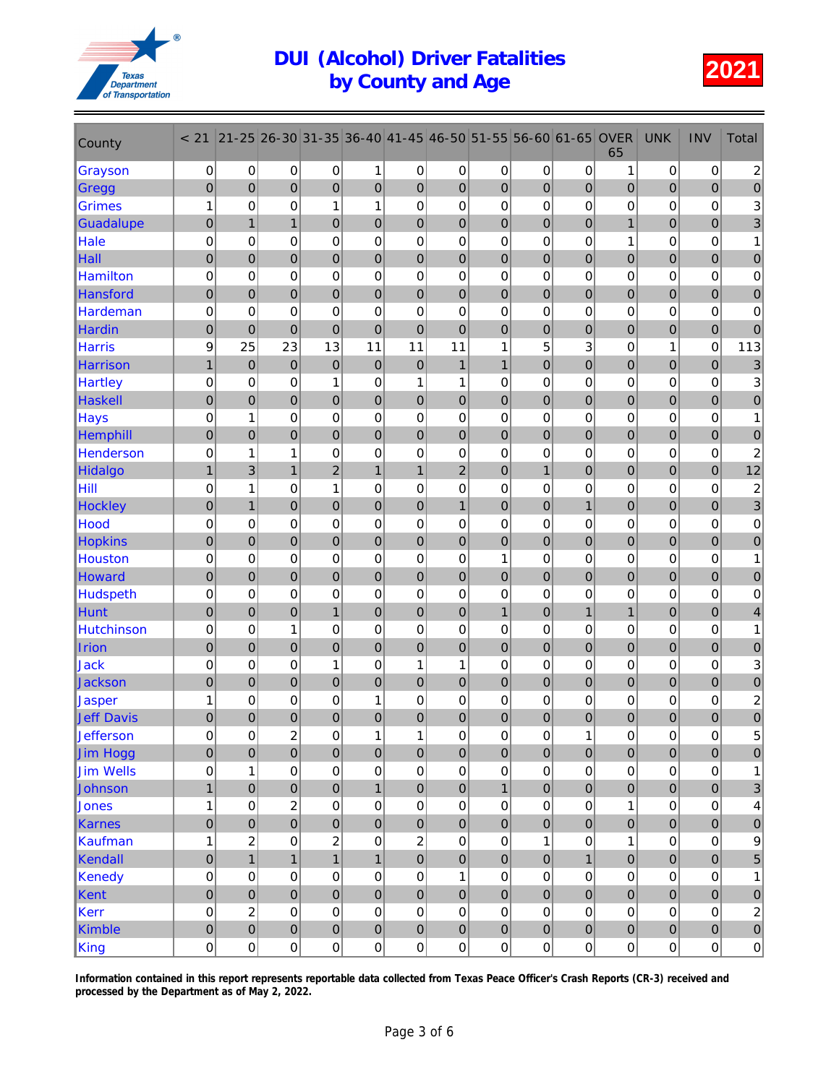

| County            | < 21                | $21 - 25$        | 26-30                   | 31-35            | 36-40            | 41-45          | 46-50            | $51 - 55$        | 56-60            | 61-65          | <b>OVER</b><br>65   | <b>UNK</b>          | <b>INV</b>          | Total                     |
|-------------------|---------------------|------------------|-------------------------|------------------|------------------|----------------|------------------|------------------|------------------|----------------|---------------------|---------------------|---------------------|---------------------------|
| Grayson           | 0                   | 0                | $\pmb{0}$               | 0                | 1                | $\pmb{0}$      | $\pmb{0}$        | 0                | 0                | 0              | 1                   | $\mathbf 0$         | 0                   | $\boldsymbol{2}$          |
| Gregg             | $\boldsymbol{0}$    | $\overline{0}$   | 0                       | $\boldsymbol{0}$ | $\boldsymbol{0}$ | $\overline{0}$ | $\mathbf 0$      | $\boldsymbol{0}$ | $\mathbf 0$      | $\overline{0}$ | $\pmb{0}$           | $\mathbf 0$         | $\boldsymbol{0}$    | $\pmb{0}$                 |
| <b>Grimes</b>     | 1                   | 0                | 0                       | 1                | $\mathbf{1}$     | $\mathbf 0$    | $\mathbf 0$      | 0                | 0                | $\mathbf 0$    | 0                   | $\mathbf 0$         | $\mathbf 0$         | $\ensuremath{\mathsf{3}}$ |
| <b>Guadalupe</b>  | $\pmb{0}$           | $\overline{1}$   | $\mathbf{1}$            | $\overline{0}$   | $\mathbf 0$      | $\mathbf 0$    | $\mathbf 0$      | $\mathbf 0$      | $\overline{0}$   | $\mathbf 0$    | 1                   | $\mathbf 0$         | $\mathbf 0$         | 3                         |
| Hale              | $\mathbf 0$         | $\mathbf 0$      | 0                       | 0                | 0                | $\mathbf 0$    | 0                | $\mathbf 0$      | $\mathbf 0$      | $\mathbf 0$    | 1                   | 0                   | $\mathbf 0$         | 1                         |
| Hall              | $\pmb{0}$           | $\mathbf 0$      | $\boldsymbol{0}$        | $\boldsymbol{0}$ | $\pmb{0}$        | $\mathbf 0$    | $\mathbf 0$      | $\mathbf 0$      | $\mathbf 0$      | $\mathbf 0$    | $\boldsymbol{0}$    | $\mathbf 0$         | $\boldsymbol{0}$    | $\pmb{0}$                 |
| <b>Hamilton</b>   | 0                   | 0                | 0                       | $\mathbf 0$      | 0                | $\mathbf 0$    | 0                | $\mathbf 0$      | $\mathbf 0$      | 0              | 0                   | 0                   | $\mathbf 0$         | 0                         |
| Hansford          | $\mathbf 0$         | $\overline{0}$   | $\overline{0}$          | $\overline{0}$   | $\mathbf 0$      | $\mathbf 0$    | $\overline{0}$   | $\mathbf 0$      | $\overline{0}$   | $\overline{0}$ | $\mathbf 0$         | $\mathbf 0$         | $\overline{0}$      | $\overline{0}$            |
| <b>Hardeman</b>   | 0                   | 0                | 0                       | 0                | 0                | $\mathbf 0$    | $\mathbf 0$      | 0                | $\mathbf 0$      | $\mathbf 0$    | 0                   | 0                   | 0                   | 0                         |
| <b>Hardin</b>     | $\pmb{0}$           | $\mathbf 0$      | $\overline{0}$          | $\boldsymbol{0}$ | $\mathbf 0$      | $\mathbf 0$    | $\mathbf 0$      | $\boldsymbol{0}$ | $\mathbf 0$      | $\mathbf 0$    | $\mathbf 0$         | $\overline{0}$      | $\mathbf 0$         | $\mathbf 0$               |
| <b>Harris</b>     | 9                   | 25               | 23                      | 13               | 11               | 11             | 11               | 1                | 5                | 3              | 0                   | 1                   | 0                   | 113                       |
| <b>Harrison</b>   | $\mathbf{1}$        | $\boldsymbol{0}$ | $\mathbf 0$             | 0                | $\mathbf 0$      | $\mathbf 0$    | $\mathbf{1}$     | $\mathbf{1}$     | $\boldsymbol{0}$ | $\mathbf 0$    | 0                   | $\mathbf 0$         | $\boldsymbol{0}$    | $\mathbf{3}$              |
| <b>Hartley</b>    | 0                   | 0                | 0                       | 1                | 0                | 1              | 1                | $\mathbf 0$      | $\mathbf 0$      | $\mathbf 0$    | $\mathbf 0$         | 0                   | $\mathbf 0$         | 3                         |
| Haskell           | $\pmb{0}$           | $\overline{0}$   | $\mathbf 0$             | $\mathbf 0$      | $\mathbf 0$      | $\mathbf 0$    | $\mathbf 0$      | $\mathbf 0$      | $\overline{0}$   | $\mathbf 0$    | $\mathbf 0$         | $\mathbf 0$         | $\mathbf 0$         | $\pmb{0}$                 |
| <b>Hays</b>       | $\mathbf 0$         | 1                | 0                       | $\mathbf 0$      | $\mathbf 0$      | $\mathbf 0$    | $\mathbf 0$      | 0                | $\mathbf 0$      | $\mathbf 0$    | $\mathbf 0$         | 0                   | $\mathbf 0$         | 1                         |
| Hemphill          | $\pmb{0}$           | $\mathbf 0$      | 0                       | $\boldsymbol{0}$ | $\boldsymbol{0}$ | $\mathbf 0$    | $\mathbf 0$      | $\mathbf 0$      | $\mathbf 0$      | $\mathbf 0$    | $\mathbf 0$         | $\mathbf 0$         | $\mathbf 0$         | $\pmb{0}$                 |
| <b>Henderson</b>  | 0                   | 1                | 1                       | 0                | $\mathbf 0$      | $\mathbf 0$    | 0                | 0                | $\mathbf 0$      | $\mathbf 0$    | 0                   | $\mathbf 0$         | $\mathbf 0$         | $\boldsymbol{2}$          |
| <b>Hidalgo</b>    | $\overline{1}$      | 3                | $\overline{1}$          | $\overline{2}$   | $\mathbf{1}$     | $\overline{1}$ | $\overline{2}$   | $\overline{0}$   | $\overline{1}$   | $\overline{0}$ | $\overline{0}$      | $\overline{0}$      | $\overline{0}$      | 12                        |
| Hill              | 0                   | 1                | 0                       | 1                | 0                | $\mathbf 0$    | $\mathbf 0$      | $\mathbf 0$      | $\mathbf 0$      | $\mathbf 0$    | 0                   | 0                   | 0                   | $\overline{c}$            |
| <b>Hockley</b>    | $\pmb{0}$           | $\overline{1}$   | $\boldsymbol{0}$        | $\mathbf 0$      | $\mathbf 0$      | $\mathbf 0$    | $\mathbf{1}$     | $\boldsymbol{0}$ | $\mathbf 0$      | $\mathbf{1}$   | $\mathbf 0$         | $\mathbf 0$         | $\mathbf 0$         | 3                         |
| Hood              | 0                   | 0                | 0                       | $\mathbf 0$      | 0                | $\mathbf 0$    | 0                | 0                | 0                | $\mathbf 0$    | 0                   | 0                   | 0                   | 0                         |
| <b>Hopkins</b>    | $\boldsymbol{0}$    | $\mathbf 0$      | 0                       | $\boldsymbol{0}$ | $\boldsymbol{0}$ | $\overline{0}$ | $\mathbf 0$      | $\mathbf 0$      | $\mathbf 0$      | $\mathbf 0$    | $\boldsymbol{0}$    | $\mathbf 0$         | $\mathbf 0$         | $\mathbf 0$               |
| <b>Houston</b>    | 0                   | $\mathbf 0$      | 0                       | 0                | $\mathbf 0$      | $\mathbf 0$    | $\mathbf 0$      | 1                | $\mathbf 0$      | $\mathbf 0$    | $\mathbf 0$         | $\mathbf 0$         | $\mathbf 0$         | 1                         |
| <b>Howard</b>     | $\mathbf 0$         | $\overline{0}$   | $\overline{0}$          | $\mathbf 0$      | $\mathbf 0$      | $\mathbf 0$    | $\mathbf 0$      | $\mathbf 0$      | $\overline{0}$   | $\mathbf 0$    | $\mathbf 0$         | $\mathbf 0$         | $\mathbf 0$         | $\pmb{0}$                 |
| <b>Hudspeth</b>   | $\mathbf 0$         | 0                | 0                       | 0                | 0                | $\mathbf 0$    | 0                | 0                | $\mathbf 0$      | $\mathbf 0$    | 0                   | 0                   | $\mathbf 0$         | $\pmb{0}$                 |
| Hunt              | $\pmb{0}$           | $\mathbf 0$      | 0                       | $\mathbf{1}$     | $\pmb{0}$        | $\mathbf 0$    | $\mathbf 0$      | $\mathbf{1}$     | $\mathbf 0$      | $\mathbf{1}$   | $\mathbf{1}$        | $\mathbf 0$         | $\boldsymbol{0}$    | 4                         |
| <b>Hutchinson</b> | 0                   | 0                | 1                       | $\mathbf 0$      | $\mathbf 0$      | $\mathbf 0$    | 0                | $\mathbf 0$      | $\mathbf 0$      | $\mathbf 0$    | 0                   | 0                   | $\mathbf 0$         | 1                         |
| Irion             | $\mathbf 0$         | $\overline{0}$   | $\overline{0}$          | $\overline{0}$   | $\mathbf 0$      | $\mathbf 0$    | $\mathbf 0$      | $\mathbf 0$      | $\overline{0}$   | $\overline{0}$ | $\mathbf 0$         | $\mathbf 0$         | $\overline{0}$      | $\pmb{0}$                 |
| Jack              | 0                   | 0                | 0                       | 1                | 0                | 1              | 1                | 0                | 0                | $\mathbf 0$    | 0                   | 0                   | 0                   | $\ensuremath{\mathsf{3}}$ |
| <b>Jackson</b>    | $\pmb{0}$           | $\mathbf 0$      | 0                       | $\mathbf 0$      | $\boldsymbol{0}$ | $\mathbf 0$    | $\mathbf 0$      | $\mathbf 0$      | $\mathbf 0$      | $\mathbf 0$    | $\mathbf 0$         | $\mathbf 0$         | $\mathbf 0$         | $\pmb{0}$                 |
| Jasper            | 1                   | 0                | 0                       | 0                | $\mathbf{1}$     | $\mathbf 0$    | $\mathbf 0$      | 0                | 0                | $\mathbf 0$    | 0                   | 0                   | 0                   | $\boldsymbol{2}$          |
| <b>Jeff Davis</b> | $\boldsymbol{0}$    | 0                | 0                       | $\mathbf 0$      | $\boldsymbol{0}$ | $\mathbf 0$    | $\boldsymbol{0}$ | $\boldsymbol{0}$ | $\mathbf 0$      | $\mathbf 0$    | 0                   | $\mathbf 0$         | $\mathbf 0$         | $\pmb{0}$                 |
| <b>Jefferson</b>  | $\mathsf{O}\xspace$ | 0                | $\overline{\mathbf{c}}$ | $\mathsf 0$      | 1                | 1              | 0                | 0                | $\mathsf 0$      | 1              | 0                   | $\mathsf{O}\xspace$ | $\mathsf{O}\xspace$ | 5                         |
| Jim Hogg          | $\pmb{0}$           | $\mathbf 0$      | $\mathbf 0$             | $\pmb{0}$        | $\mathbf 0$      | $\mathbf 0$    | $\pmb{0}$        | $\pmb{0}$        | $\overline{0}$   | $\mathbf 0$    | $\pmb{0}$           | $\mathbf 0$         | $\pmb{0}$           | $\pmb{0}$                 |
| <b>Jim Wells</b>  | 0                   | $\mathbf{1}$     | 0                       | 0                | $\mathsf 0$      | $\mathbf 0$    | $\mathbf 0$      | $\mathbf 0$      | $\mathsf 0$      | $\mathbf 0$    | 0                   | $\pmb{0}$           | 0                   | 1                         |
| Johnson           | $\mathbf{1}$        | $\mathbf 0$      | $\mathbf 0$             | $\pmb{0}$        | $\mathbf{1}$     | $\mathbf 0$    | $\mathbf 0$      | $\mathbf{1}$     | $\pmb{0}$        | $\mathbf 0$    | $\mathbf 0$         | $\mathbf 0$         | $\pmb{0}$           | $\ensuremath{\mathsf{3}}$ |
| Jones             | $\mathbf 1$         | $\mathbf 0$      | $\overline{c}$          | $\mathbf 0$      | $\mathsf 0$      | $\mathbf 0$    | $\mathbf 0$      | $\mathbf 0$      | 0                | $\mathbf 0$    | $\mathbf{1}$        | $\pmb{0}$           | $\pmb{0}$           | 4                         |
| Karnes            | $\overline{0}$      | $\overline{0}$   | $\overline{0}$          | $\overline{0}$   | $\mathbf 0$      | $\mathbf 0$    | $\overline{0}$   | $\overline{0}$   | $\overline{0}$   | $\overline{0}$ | $\overline{0}$      | $\overline{0}$      | $\overline{0}$      | $\mathbf 0$               |
| Kaufman           | $\mathbf 1$         | $\overline{c}$   | 0                       | $\overline{c}$   | $\pmb{0}$        | $\overline{c}$ | $\mathbf 0$      | $\mathbf 0$      | 1                | 0              | $\mathbf{1}$        | $\pmb{0}$           | $\mathbf 0$         | 9                         |
| Kendall           | $\mathbf 0$         | $\overline{1}$   | $\mathbf{1}$            | $\mathbf{1}$     | $\mathbf{1}$     | $\mathbf 0$    | $\mathbf 0$      | $\mathbf 0$      | $\mathbf 0$      | $\overline{1}$ | $\pmb{0}$           | $\mathbf 0$         | $\mathbf 0$         | 5                         |
| Kenedy            | 0                   | 0                | 0                       | 0                | 0                | 0              | 1                | 0                | 0                | 0              | 0                   | 0                   | $\mathbf 0$         | 1                         |
| Kent              | $\pmb{0}$           | $\mathbf 0$      | $\mathbf 0$             | $\pmb{0}$        | $\pmb{0}$        | $\mathbf 0$    | $\mathbf 0$      | $\pmb{0}$        | $\mathbf 0$      | $\mathbf 0$    | $\mathbf 0$         | $\boldsymbol{0}$    | $\mathbf 0$         | $\pmb{0}$                 |
| Kerr              | 0                   | $\overline{c}$   | 0                       | $\mathbf 0$      | $\mathsf 0$      | $\mathbf 0$    | $\mathbf 0$      | $\pmb{0}$        | $\mathsf 0$      | $\mathbf 0$    | $\mathbf 0$         | $\mathbf 0$         | $\pmb{0}$           | $\boldsymbol{2}$          |
| Kimble            | $\mathbf 0$         | $\overline{0}$   | $\pmb{0}$               | $\overline{0}$   | $\pmb{0}$        | $\pmb{0}$      | $\mathbf 0$      | $\overline{0}$   | $\mathbf 0$      | $\mathbf 0$    | $\mathbf 0$         | $\mathbf 0$         | $\mathbf 0$         | $\mathbf 0$               |
| King              | 0                   | $\pmb{0}$        | $\mathsf 0$             | $\mathsf 0$      | $\mathsf 0$      | $\mathbf 0$    | $\mathsf 0$      | $\mathbf 0$      | $\mathsf 0$      | $\mathbf 0$    | $\mathsf{O}\xspace$ | $\pmb{0}$           | $\mathsf{O}\xspace$ | 0                         |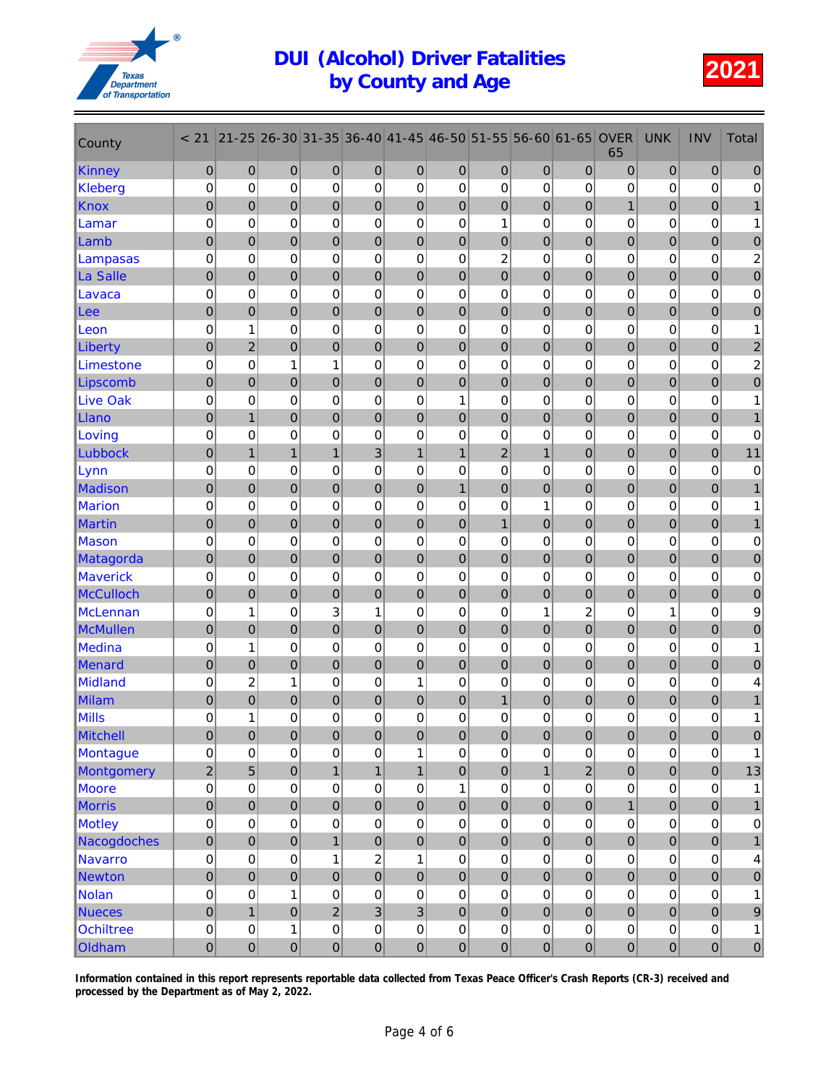

| County           | < 21             | $21 - 25$      | 26-30            | 31-35            | 36-40          | 41-45            | 46-50            | 51-55            | 56-60            | 61-65          | <b>OVER</b><br>65 | <b>UNK</b>       | <b>INV</b>       | <b>Total</b>            |
|------------------|------------------|----------------|------------------|------------------|----------------|------------------|------------------|------------------|------------------|----------------|-------------------|------------------|------------------|-------------------------|
| Kinney           | $\mathbf{0}$     | 0              | $\mathbf 0$      | 0                | $\mathbf 0$    | 0                | $\mathbf 0$      | $\mathbf 0$      | 0                | $\overline{0}$ | $\mathbf 0$       | $\mathbf 0$      | $\pmb{0}$        | $\mathbf{0}$            |
| Kleberg          | $\pmb{0}$        | $\mathbf 0$    | 0                | 0                | $\pmb{0}$      | 0                | 0                | 0                | 0                | $\mathbf 0$    | 0                 | $\mathbf 0$      | 0                | $\pmb{0}$               |
| <b>Knox</b>      | $\boldsymbol{0}$ | $\overline{0}$ | $\mathbf 0$      | $\pmb{0}$        | $\pmb{0}$      | $\boldsymbol{0}$ | $\pmb{0}$        | $\pmb{0}$        | $\mathbf 0$      | $\mathbf 0$    | $\mathbf{1}$      | $\overline{0}$   | $\mathbf 0$      | $\mathbf{1}$            |
| Lamar            | $\mathbf 0$      | 0              | 0                | 0                | $\mathbf 0$    | 0                | 0                | 1                | 0                | $\mathbf 0$    | 0                 | 0                | 0                | 1                       |
| Lamb             | $\mathbf 0$      | 0              | $\mathbf 0$      | $\mathbf 0$      | $\mathbf 0$    | $\pmb{0}$        | 0                | $\boldsymbol{0}$ | $\boldsymbol{0}$ | $\mathbf 0$    | 0                 | $\mathbf 0$      | $\mathbf 0$      | $\mathbf 0$             |
| Lampasas         | $\mathbf 0$      | 0              | 0                | $\mathbf 0$      | $\mathsf 0$    | 0                | $\mathbf 0$      | $\overline{c}$   | 0                | $\mathbf 0$    | 0                 | 0                | $\mathbf 0$      | $\overline{\mathbf{c}}$ |
| La Salle         | $\boldsymbol{0}$ | $\overline{0}$ | $\mathbf 0$      | $\mathbf 0$      | $\mathbf 0$    | $\mathbf 0$      | $\mathbf 0$      | $\mathbf 0$      | $\mathbf 0$      | $\mathbf 0$    | $\mathbf 0$       | $\overline{0}$   | $\mathbf 0$      | $\pmb{0}$               |
| Lavaca           | 0                | $\mathbf 0$    | 0                | 0                | 0              | 0                | $\mathbf 0$      | 0                | $\mathbf 0$      | $\mathbf 0$    | $\mathbf 0$       | 0                | $\mathbf 0$      | 0                       |
| Lee              | $\mathbf 0$      | $\overline{0}$ | $\mathbf 0$      | $\boldsymbol{0}$ | $\pmb{0}$      | $\mathbf 0$      | $\mathbf 0$      | $\mathbf 0$      | $\mathbf 0$      | $\mathbf 0$    | $\mathbf 0$       | $\overline{0}$   | $\mathbf 0$      | $\mathbf 0$             |
| Leon             | 0                | 1              | 0                | $\mathbf 0$      | 0              | 0                | 0                | 0                | 0                | $\mathbf 0$    | 0                 | 0                | $\mathbf 0$      | 1                       |
| <b>Liberty</b>   | $\overline{0}$   | $\overline{2}$ | $\overline{0}$   | $\overline{0}$   | $\mathbf 0$    | $\mathbf 0$      | $\overline{0}$   | $\overline{0}$   | $\overline{0}$   | $\overline{0}$ | $\overline{0}$    | $\mathbf 0$      | $\overline{0}$   | $\overline{c}$          |
| Limestone        | $\mathbf 0$      | 0              | 1                | $\mathbf{1}$     | $\mathbf 0$    | 0                | 0                | 0                | 0                | 0              | 0                 | 0                | $\mathbf 0$      | 2                       |
| Lipscomb         | $\pmb{0}$        | $\mathbf 0$    | $\mathbf 0$      | $\mathbf 0$      | $\pmb{0}$      | $\mathbf 0$      | $\pmb{0}$        | $\pmb{0}$        | $\mathbf 0$      | $\mathbf 0$    | $\pmb{0}$         | $\boldsymbol{0}$ | $\mathbf 0$      | $\pmb{0}$               |
| <b>Live Oak</b>  | 0                | 0              | 0                | 0                | 0              | 0                | 1                | 0                | $\mathbf 0$      | $\mathbf 0$    | 0                 | 0                | 0                | 1                       |
| Llano            | $\boldsymbol{0}$ | $\mathbf{1}$   | $\mathbf 0$      | $\mathbf 0$      | $\pmb{0}$      | $\boldsymbol{0}$ | $\boldsymbol{0}$ | $\boldsymbol{0}$ | $\mathbf 0$      | $\mathbf 0$    | 0                 | $\mathbf 0$      | $\mathbf 0$      |                         |
| Loving           | 0                | $\mathbf 0$    | 0                | $\mathbf 0$      | 0              | $\mathbf 0$      | $\mathbf 0$      | $\mathbf 0$      | 0                | $\mathbf 0$    | $\mathbf 0$       | $\mathbf 0$      | $\mathbf 0$      | $\pmb{0}$               |
| Lubbock          | $\mathbf 0$      | $\mathbf{1}$   | $\mathbf{1}$     | $\mathbf{1}$     | 3              | $\mathbf{1}$     | $\mathbf{1}$     | $\overline{c}$   | $\overline{1}$   | $\mathbf 0$    | $\mathbf 0$       | $\mathbf 0$      | $\mathbf 0$      | 11                      |
| Lynn             | $\mathbf 0$      | 0              | 0                | $\mathbf 0$      | 0              | 0                | 0                | $\mathbf 0$      | $\mathbf 0$      | $\mathbf 0$    | 0                 | 0                | 0                | 0                       |
| Madison          | $\mathbf 0$      | $\mathbf 0$    | $\mathbf 0$      | $\mathbf 0$      | $\pmb{0}$      | $\bf 0$          | $\overline{1}$   | $\mathbf 0$      | $\mathbf 0$      | $\mathbf 0$    | 0                 | $\boldsymbol{0}$ | $\boldsymbol{0}$ |                         |
| <b>Marion</b>    | 0                | 0              | 0                | 0                | 0              | $\mathbf 0$      | 0                | 0                | 1                | 0              | 0                 | 0                | 0                | 1                       |
| Martin           | $\mathbf 0$      | $\overline{0}$ | $\mathbf 0$      | $\mathbf 0$      | $\mathbf 0$    | $\mathbf 0$      | $\overline{0}$   | $\mathbf{1}$     | $\overline{0}$   | $\mathbf 0$    | $\mathbf 0$       | $\mathbf 0$      | $\mathbf 0$      | $\mathbf{1}$            |
| <b>Mason</b>     | 0                | $\mathbf 0$    | 0                | 0                | $\mathbf 0$    | 0                | 0                | $\mathbf 0$      | 0                | $\mathbf 0$    | 0                 | 0                | 0                | 0                       |
| Matagorda        | $\boldsymbol{0}$ | $\mathbf 0$    | $\overline{0}$   | $\pmb{0}$        | $\pmb{0}$      | $\mathbf 0$      | $\pmb{0}$        | $\pmb{0}$        | $\mathbf 0$      | $\mathbf 0$    | 0                 | $\overline{0}$   | $\mathbf 0$      | $\pmb{0}$               |
| <b>Maverick</b>  | $\mathbf 0$      | 0              | 0                | $\mathbf 0$      | $\mathbf 0$    | 0                | 0                | 0                | $\mathbf 0$      | $\Omega$       | 0                 | 0                | 0                | 0                       |
| <b>McCulloch</b> | $\mathbf 0$      | 0              | $\mathbf 0$      | $\mathbf 0$      | $\mathbf 0$    | $\pmb{0}$        | 0                | $\boldsymbol{0}$ | $\boldsymbol{0}$ | $\mathbf 0$    | 0                 | $\mathbf 0$      | $\mathbf 0$      | $\mathbf 0$             |
| <b>McLennan</b>  | $\mathbf 0$      | 1              | 0                | 3                | 1              | $\mathbf 0$      | $\mathbf 0$      | $\mathbf 0$      | 1                | $\overline{c}$ | 0                 | 1                | $\mathbf 0$      | $\boldsymbol{9}$        |
| McMullen         | $\mathbf 0$      | $\overline{0}$ | $\overline{0}$   | $\mathbf 0$      | $\mathbf 0$    | $\mathbf 0$      | $\pmb{0}$        | $\mathbf 0$      | $\mathbf 0$      | $\mathbf 0$    | $\mathbf 0$       | $\mathbf 0$      | $\mathbf 0$      | $\pmb{0}$               |
| <b>Medina</b>    | 0                | 1              | 0                | 0                | 0              | 0                | $\mathbf 0$      | 0                | $\mathbf 0$      | 0              | 0                 | 0                | $\mathbf 0$      | 1                       |
| Menard           | $\mathbf 0$      | $\overline{0}$ | $\mathbf 0$      | $\boldsymbol{0}$ | $\pmb{0}$      | $\mathbf 0$      | $\boldsymbol{0}$ | $\mathbf 0$      | $\mathbf 0$      | $\mathbf 0$    | $\pmb{0}$         | $\mathbf 0$      | $\mathbf 0$      | $\mathbf 0$             |
| <b>Midland</b>   | 0                | $\overline{c}$ | 1                | $\mathbf 0$      | 0              | 1                | 0                | 0                | 0                | 0              | 0                 | 0                | 0                | 4                       |
| Milam            | $\overline{0}$   | $\overline{0}$ | $\mathbf 0$      | $\mathbf 0$      | $\mathbf 0$    | $\mathbf 0$      | $\mathbf 0$      | $\mathbf{1}$     | $\overline{0}$   | $\overline{0}$ | $\mathbf 0$       | $\mathbf 0$      | $\mathbf 0$      |                         |
| Mills            | 0                | 1              | 0                | 0                | $\mathbf 0$    | 0                | $\mathbf 0$      | $\mathbf 0$      | 0                | 0              | 0                 | 0                | 0                | 1                       |
| Mitchell         | $\mathbf 0$      | $\mathbf 0$    | $\mathbf 0$      | $\Omega$         | $\overline{0}$ | $\overline{0}$   | $\overline{0}$   | $\overline{0}$   | $\mathbf 0$      | $\mathbf 0$    | $\Omega$          | $\mathbf 0$      | $\Omega$         | $\Omega$                |
| Montague         | $\pmb{0}$        | 0              | 0                | 0                | $\pmb{0}$      | 1                | 0                | $\mathbf 0$      | 0                | $\pmb{0}$      | 0                 | $\pmb{0}$        | 0                | 1                       |
| Montgomery       | $\overline{2}$   | 5              | $\boldsymbol{0}$ | $\mathbf{1}$     | $\mathbf{1}$   | $\mathbf{1}$     | $\pmb{0}$        | $\mathbf 0$      | $\mathbf{1}$     | $\overline{2}$ | $\mathbf 0$       | $\boldsymbol{0}$ | $\overline{0}$   | 13                      |
| Moore            | $\mathbf 0$      | $\mathbf 0$    | 0                | $\mathsf 0$      | $\mathsf 0$    | $\pmb{0}$        | 1                | $\mathsf 0$      | $\mathsf 0$      | $\mathbf 0$    | $\mathbf 0$       | $\overline{0}$   | $\mathsf 0$      | $\mathbf{1}$            |
| <b>Morris</b>    | $\mathbf 0$      | $\mathbf 0$    | $\mathbf 0$      | $\mathbf 0$      | $\mathbf 0$    | $\mathbf 0$      | $\mathbf 0$      | $\mathbf 0$      | $\mathbf 0$      | $\mathbf 0$    | $\mathbf{1}$      | $\mathbf 0$      | $\mathbf 0$      | $\mathbf{1}$            |
| <b>Motley</b>    | $\mathbf 0$      | 0              | 0                | $\mathbf 0$      | $\mathsf 0$    | $\pmb{0}$        | 0                | $\mathbf 0$      | 0                | $\mathbf 0$    | $\mathbf 0$       | 0                | 0                | 0                       |
| Nacogdoches      | $\mathbf 0$      | $\mathbf 0$    | $\mathbf 0$      | $\mathbf{1}$     | $\pmb{0}$      | $\mathbf 0$      | $\mathbf 0$      | $\pmb{0}$        | $\mathbf 0$      | $\mathbf 0$    | 0                 | $\mathbf 0$      | $\mathbf 0$      | $\mathbf{1}$            |
| <b>Navarro</b>   | $\mathbf 0$      | $\mathbf 0$    | $\mathbf 0$      | $\mathbf{1}$     | $\mathbf 2$    | $\mathbf{1}$     | 0                | $\mathbf 0$      | 0                | 0              | 0                 | 0                | 0                | 4                       |
| Newton           | $\mathbf 0$      | $\overline{0}$ | $\overline{0}$   | $\mathbf 0$      | $\mathbf 0$    | $\overline{0}$   | $\mathbf 0$      | $\mathbf 0$      | $\mathbf 0$      | $\overline{0}$ | $\mathbf 0$       | $\overline{0}$   | $\overline{0}$   | $\pmb{0}$               |
| <b>Nolan</b>     | $\pmb{0}$        | 0              | 1                | $\mathbf 0$      | $\mathsf 0$    | $\pmb{0}$        | $\pmb{0}$        | $\mathbf 0$      | $\mathsf 0$      | $\pmb{0}$      | 0                 | $\overline{0}$   | $\pmb{0}$        | 1                       |
| <b>Nueces</b>    | $\mathbf 0$      | $\mathbf{1}$   | $\mathbf 0$      | $\overline{c}$   | $\overline{3}$ | $\overline{3}$   | $\mathbf 0$      | $\mathbf 0$      | $\mathbf 0$      | $\mathbf 0$    | $\pmb{0}$         | $\mathbf 0$      | $\boldsymbol{0}$ | $\boldsymbol{9}$        |
| Ochiltree        | $\mathbf 0$      | 0              | 1                | $\mathbf 0$      | $\mathsf 0$    | $\mathbf 0$      | 0                | 0                | 0                | $\mathbf 0$    | 0                 | 0                | $\mathsf 0$      | $\mathbf{1}$            |
| Oldham           | $\mathbf 0$      | $\mathbf 0$    | $\mathbf 0$      | $\pmb{0}$        | $\overline{0}$ | $\mathbf 0$      | 0                | $\mathbf 0$      | $\overline{0}$   | $\mathbf 0$    | $\mathbf 0$       | $\mathbf 0$      | $\overline{0}$   | $\mathbf 0$             |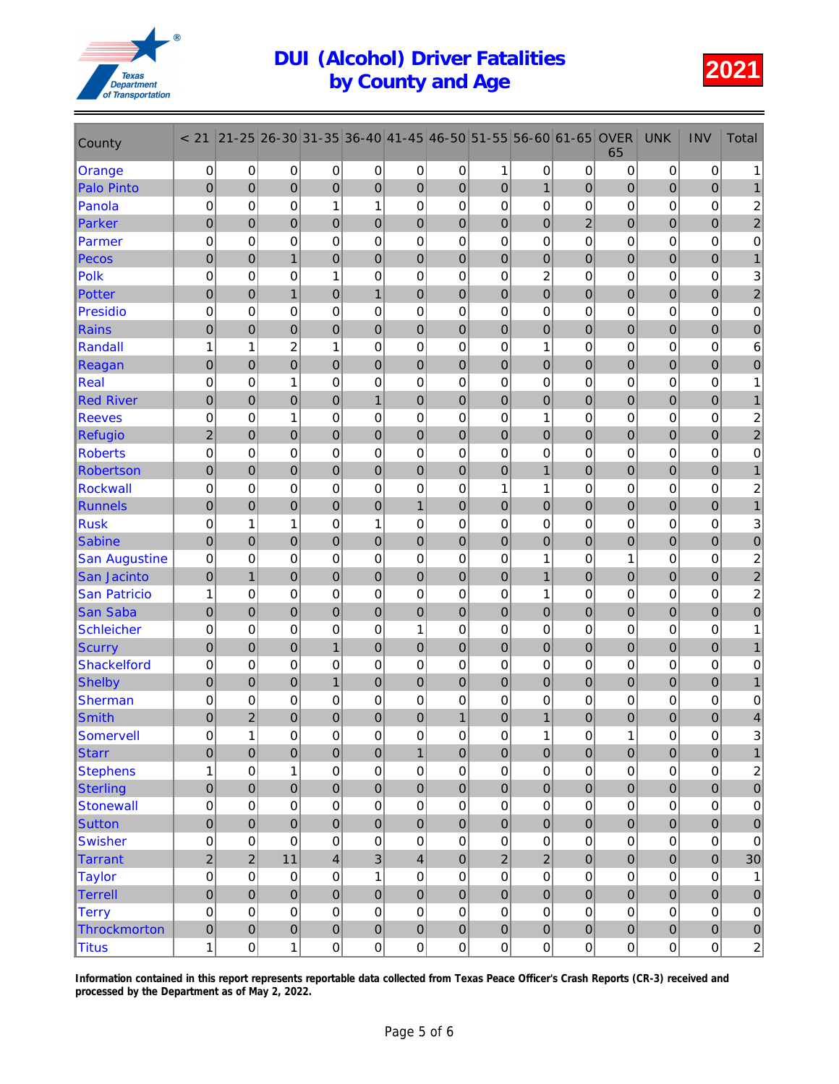

| County                               | < 21                     | $21 - 25$      | 26-30               | 31-35               | 36-40            | $ 41 - 45 $    | 46-50               | 51-55               | 56-60               | 61-65            | <b>OVER</b><br>65 | <b>UNK</b>            | <b>INV</b>       | <b>Total</b>            |
|--------------------------------------|--------------------------|----------------|---------------------|---------------------|------------------|----------------|---------------------|---------------------|---------------------|------------------|-------------------|-----------------------|------------------|-------------------------|
| Orange                               | 0                        | 0              | 0                   | 0                   | 0                | 0              | 0                   | 1                   | 0                   | 0                | 0                 | 0                     | 0                | 1                       |
| <b>Palo Pinto</b>                    | $\mathbf 0$              | $\mathbf 0$    | 0                   | 0                   | $\overline{0}$   | $\pmb{0}$      | 0                   | $\mathbf 0$         | $\mathbf{1}$        | $\overline{0}$   | 0                 | $\overline{0}$        | $\overline{0}$   |                         |
| Panola                               | 0                        | 0              | 0                   | 1                   | $\mathbf{1}$     | $\mathbf 0$    | 0                   | 0                   | 0                   | 0                | 0                 | 0                     | 0                | $\overline{\mathbf{c}}$ |
| <b>Parker</b>                        | $\mathbf 0$              | $\overline{0}$ | $\overline{0}$      | 0                   | $\mathbf 0$      | $\mathbf 0$    | 0                   | $\mathbf 0$         | $\overline{0}$      | $\overline{2}$   | 0                 | $\overline{0}$        | $\boldsymbol{0}$ | $\boldsymbol{2}$        |
| Parmer                               | $\mathbf 0$              | 0              | 0                   | 0                   | 0                | 0              | 0                   | $\mathbf 0$         | $\mathbf 0$         | 0                | 0                 | 0                     | 0                | $\pmb{0}$               |
| <b>Pecos</b>                         | $\pmb{0}$                | 0              | $\mathbf{1}$        | 0                   | $\mathbf 0$      | $\pmb{0}$      | $\mathbf 0$         | $\mathbf 0$         | $\pmb{0}$           | $\boldsymbol{0}$ | 0                 | $\boldsymbol{0}$      | $\pmb{0}$        | 1                       |
| Polk                                 | $\mathbf 0$              | 0              | 0                   | 1                   | 0                | 0              | 0                   | 0                   | $\overline{c}$      | 0                | 0                 | 0                     | 0                | 3                       |
| Potter                               | $\mathbf 0$              | $\overline{0}$ | $\overline{1}$      | $\overline{0}$      | $\mathbf{1}$     | $\mathbf 0$    | $\overline{0}$      | $\overline{0}$      | $\overline{0}$      | $\overline{0}$   | $\mathbf 0$       | $\mathbf 0$           | $\overline{0}$   | $\overline{c}$          |
| <b>Presidio</b>                      | $\mathbf 0$              | 0              | 0                   | 0                   | 0                | 0              | 0                   | 0                   | 0                   | 0                | 0                 | 0                     | 0                | $\pmb{0}$               |
| <b>Rains</b>                         | $\mathbf 0$              | $\overline{0}$ | 0                   | $\mathbf 0$         | $\overline{0}$   | $\mathbf 0$    | $\mathbf 0$         | $\mathbf 0$         | $\mathbf 0$         | 0                | 0                 | $\overline{0}$        | $\boldsymbol{0}$ | $\pmb{0}$               |
| Randall                              | 1                        | 1              | 2                   | 1                   | 0                | 0              | 0                   | 0                   | 1                   | 0                | 0                 | 0                     | 0                | 6                       |
| Reagan                               | $\mathbf 0$              | 0              | 0                   | 0                   | $\mathbf 0$      | 0              | 0                   | $\mathbf 0$         | 0                   | 0                | 0                 | $\mathbf 0$           | 0                | 0                       |
| <b>Real</b>                          | $\mathbf 0$              | $\mathbf 0$    | 1                   | 0                   | 0                | $\mathbf 0$    | $\mathbf 0$         | 0                   | $\mathbf 0$         | 0                | 0                 | 0                     | 0                | 1                       |
| <b>Red River</b>                     | $\mathbf 0$              | $\overline{0}$ | $\overline{0}$      | $\overline{0}$      | $\mathbf{1}$     | $\mathbf 0$    | $\mathbf 0$         | $\mathbf 0$         | $\overline{0}$      | 0                | $\mathbf 0$       | $\boldsymbol{0}$      | $\mathbf 0$      |                         |
| <b>Reeves</b>                        | $\mathbf 0$              | 0              | 1                   | 0                   | 0                | 0              | 0                   | 0                   | 1                   | 0                | 0                 | 0                     | 0                | 2                       |
| <b>Refugio</b>                       | $\overline{c}$           | $\mathbf 0$    | 0                   | 0                   | $\pmb{0}$        | $\bf 0$        | $\mathbf 0$         | $\mathbf 0$         | $\mathbf 0$         | $\mathbf 0$      | 0                 | $\mathbf 0$           | $\pmb{0}$        | $\overline{\mathbf{c}}$ |
| <b>Roberts</b>                       | 0                        | 0              | 0                   | 0                   | 0                | 0              | 0                   | 0                   | 0                   | 0                | 0                 | 0                     | 0                | $\pmb{0}$               |
| <b>Robertson</b>                     | $\mathbf 0$              | $\overline{0}$ | $\overline{0}$      | $\overline{0}$      | $\overline{0}$   | $\mathbf 0$    | $\overline{0}$      | $\overline{0}$      | $\overline{1}$      | $\overline{0}$   | $\overline{0}$    | $\mathbf 0$           | $\pmb{0}$        | 1                       |
| <b>Rockwall</b>                      | $\mathbf 0$              | 0              | 0                   | 0                   | 0                | 0              | 0                   | 1                   | 1                   | 0                | 0                 | 0                     | 0                | 2                       |
| Runnels                              | $\mathbf 0$              | $\overline{0}$ | 0                   | $\mathbf 0$         | $\mathbf 0$      | $\overline{1}$ | $\mathbf 0$         | $\mathbf 0$         | $\mathbf 0$         | $\mathbf 0$      | 0                 | $\mathbf 0$           | $\pmb{0}$        | $\mathbf{1}$            |
| <b>Rusk</b>                          | $\mathbf 0$              | 1              | 1                   | 0                   | 1                | 0              | 0                   | 0                   | 0                   | 0                | 0                 | 0                     | 0                | 3                       |
| <b>Sabine</b>                        | $\mathbf 0$              | $\mathbf 0$    | 0                   | 0                   | $\pmb{0}$        | $\mathbf 0$    | $\mathbf 0$         | $\mathbf 0$         | $\overline{0}$      | 0                | 0                 | $\overline{0}$        | $\pmb{0}$        | 0                       |
| <b>San Augustine</b>                 | 0                        | $\mathbf 0$    | 0                   | 0                   | 0                | $\mathbf 0$    | $\pmb{0}$           | $\mathbf 0$         | 1                   | 0                | 1                 | 0                     | 0                | $\overline{\mathbf{c}}$ |
| <b>San Jacinto</b>                   | $\mathbf 0$              | $\overline{1}$ | $\overline{0}$      | $\overline{0}$      | $\mathbf 0$      | $\mathbf 0$    | $\overline{0}$      | $\mathbf{0}$        | 1                   | $\overline{0}$   | $\mathbf 0$       | $\overline{0}$        | $\boldsymbol{0}$ | $\mathbf 2$             |
| <b>San Patricio</b>                  | 1                        | 0              | 0                   | 0                   | 0                | 0              | 0                   | $\mathbf 0$         | 1                   | 0                | 0                 | 0                     | 0                | $\overline{c}$          |
| <b>San Saba</b><br><b>Schleicher</b> | $\mathbf 0$              | 0<br>0         | 0                   | $\mathbf 0$         | $\pmb{0}$        | $\pmb{0}$<br>1 | 0                   | $\mathbf 0$         | $\mathbf 0$         | $\boldsymbol{0}$ | 0                 | $\boldsymbol{0}$<br>0 | $\pmb{0}$<br>0   | $\pmb{0}$               |
|                                      | $\mathbf 0$<br>$\pmb{0}$ | $\overline{0}$ | 0<br>$\overline{0}$ | 0<br>$\mathbf{1}$   | 0<br>$\mathbf 0$ | $\overline{0}$ | 0<br>$\overline{0}$ | 0<br>$\overline{0}$ | 0<br>$\overline{0}$ | 0<br>$\mathbf 0$ | 0<br>$\mathbf 0$  | $\mathbf 0$           | $\overline{0}$   | 1                       |
| <b>Scurry</b><br><b>Shackelford</b>  | 0                        | 0              | 0                   | 0                   | 0                | 0              | 0                   | 0                   | 0                   | 0                | 0                 | 0                     | 0                | 0                       |
| <b>Shelby</b>                        | $\mathbf 0$              | $\mathbf 0$    | 0                   | $\mathbf{1}$        | $\mathbf 0$      | $\mathbf 0$    | $\mathbf 0$         | $\mathbf 0$         | $\mathbf 0$         | 0                | 0                 | $\boldsymbol{0}$      | $\boldsymbol{0}$ |                         |
| <b>Sherman</b>                       | $\mathbf 0$              | 0              | 0                   | 0                   | 0                | 0              | 0                   | 0                   | 0                   | 0                | 0                 | 0                     | 0                | $\mathbf 0$             |
| <b>Smith</b>                         | $\mathbf 0$              | 2              | 0                   | 0                   | $\mathbf 0$      | $\mathbf 0$    | 1                   | $\mathbf 0$         | 1                   | 0                | 0                 | 0                     | $\mathbf 0$      | 4                       |
| Somervell                            | $\mathsf{O}\xspace$      | 1              | 0                   | $\mathsf{O}\xspace$ | $\pmb{0}$        | $\mathbf 0$    | 0                   | 0                   | 1                   | 0                | $\mathbf{1}$      | 0                     | $\Omega$         | 3                       |
| <b>Starr</b>                         | $\mathbf 0$              | $\overline{0}$ | $\mathbf 0$         | $\mathbf 0$         | $\pmb{0}$        | $\mathbf{1}$   | $\pmb{0}$           | $\mathbf 0$         | $\pmb{0}$           | $\mathbf 0$      | 0                 | $\pmb{0}$             | $\pmb{0}$        | $\mathbf{1}$            |
| <b>Stephens</b>                      | 1                        | $\mathsf 0$    | 1                   | 0                   | $\pmb{0}$        | $\mathbf 0$    | 0                   | $\pmb{0}$           | $\boldsymbol{0}$    | 0                | 0                 | $\pmb{0}$             | $\pmb{0}$        | $\boldsymbol{2}$        |
| <b>Sterling</b>                      | $\mathbf 0$              | $\overline{0}$ | $\mathbf 0$         | $\mathbf 0$         | $\pmb{0}$        | $\pmb{0}$      | $\mathbf 0$         | $\mathbf 0$         | $\overline{0}$      | $\pmb{0}$        | 0                 | $\pmb{0}$             | $\overline{0}$   | $\pmb{0}$               |
| <b>Stonewall</b>                     | 0                        | $\mathsf 0$    | 0                   | 0                   | $\mathsf 0$      | $\pmb{0}$      | $\pmb{0}$           | 0                   | $\mathsf 0$         | 0                | $\pmb{0}$         | $\mathsf 0$           | $\mathsf 0$      | $\pmb{0}$               |
| <b>Sutton</b>                        | $\mathbf 0$              | $\overline{0}$ | $\overline{0}$      | $\mathbf 0$         | $\mathbf 0$      | $\mathbf 0$    | $\overline{0}$      | $\overline{0}$      | $\overline{0}$      | $\overline{0}$   | $\overline{0}$    | $\overline{0}$        | $\mathbf 0$      | $\bf 0$                 |
| <b>Swisher</b>                       | 0                        | 0              | 0                   | 0                   | $\pmb{0}$        | $\pmb{0}$      | 0                   | 0                   | $\pmb{0}$           | 0                | 0                 | $\pmb{0}$             | $\pmb{0}$        | $\pmb{0}$               |
| <b>Tarrant</b>                       | $\sqrt{2}$               | $\overline{2}$ | 11                  | 4                   | $\mathbf{3}$     | $\overline{4}$ | $\mathbf 0$         | $\overline{2}$      | $\overline{2}$      | $\mathbf 0$      | 0                 | $\pmb{0}$             | $\overline{0}$   | 30                      |
| <b>Taylor</b>                        | 0                        | 0              | 0                   | 0                   | 1                | 0              | 0                   | 0                   | $\mathsf 0$         | 0                | 0                 | $\pmb{0}$             | $\pmb{0}$        | 1                       |
| Terrell                              | $\pmb{0}$                | $\mathbf 0$    | $\pmb{0}$           | $\pmb{0}$           | $\pmb{0}$        | $\pmb{0}$      | $\pmb{0}$           | $\mathbf 0$         | $\overline{0}$      | $\pmb{0}$        | 0                 | $\pmb{0}$             | $\overline{0}$   | $\pmb{0}$               |
| <b>Terry</b>                         | $\pmb{0}$                | $\mathsf 0$    | $\pmb{0}$           | 0                   | $\mathsf 0$      | $\mathsf 0$    | $\pmb{0}$           | 0                   | $\pmb{0}$           | $\mathbf 0$      | $\mathsf 0$       | $\mathbf 0$           | $\pmb{0}$        | $\pmb{0}$               |
| Throckmorton                         | $\pmb{0}$                | $\pmb{0}$      | $\overline{0}$      | $\pmb{0}$           | $\pmb{0}$        | $\pmb{0}$      | 0                   | $\pmb{0}$           | $\pmb{0}$           | $\mathbf 0$      | 0                 | $\mathbf 0$           | $\mathbf 0$      | $\pmb{0}$               |
| <b>Titus</b>                         | 1                        | $\pmb{0}$      | $\mathbf{1}$        | $\boldsymbol{0}$    | $\boldsymbol{0}$ | $\pmb{0}$      | $\overline{0}$      | 0                   | $\boldsymbol{0}$    | $\pmb{0}$        | $\overline{0}$    | $\pmb{0}$             | $\boldsymbol{0}$ | $\overline{2}$          |